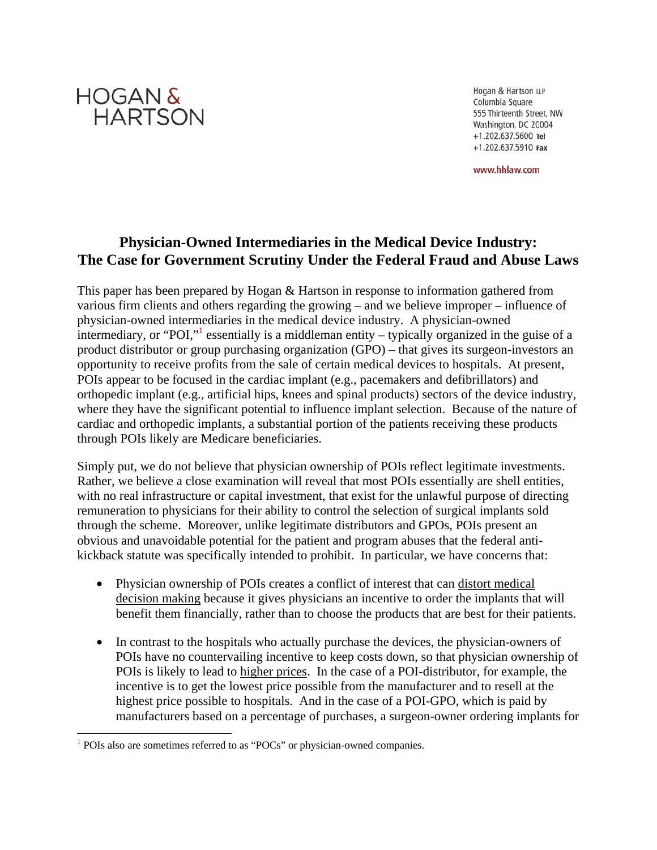

Hogan & Hartson LLP Columbia Square 555 Thirteenth Street, NW Washington, DC 20004 +1.202.637.5600 Tel  $+1.202.637.5910$  Fax

www.hhlaw.com

# **Physician-Owned Intermediaries in the Medical Device Industry: The Case for Government Scrutiny Under the Federal Fraud and Abuse Laws**

This paper has been prepared by Hogan & Hartson in response to information gathered from various firm clients and others regarding the growing – and we believe improper – influence of physician-owned intermediaries in the medical device industry. A physician-owned intermediary, or "POI," essentially is a middleman entity – typically organized in the guise of a product distributor or group purchasing organization (GPO) – that gives its surgeon-investors an opportunity to receive profits from the sale of certain medical devices to hospitals. At present, POIs appear to be focused in the cardiac implant (e.g., pacemakers and defibrillators) and orthopedic implant (e.g., artificial hips, knees and spinal products) sectors of the device industry, where they have the significant potential to influence implant selection. Because of the nature of cardiac and orthopedic implants, a substantial portion of the patients receiving these products through POIs likely are Medicare beneficiaries.

Simply put, we do not believe that physician ownership of POIs reflect legitimate investments. Rather, we believe a close examination will reveal that most POIs essentially are shell entities, with no real infrastructure or capital investment, that exist for the unlawful purpose of directing remuneration to physicians for their ability to control the selection of surgical implants sold through the scheme. Moreover, unlike legitimate distributors and GPOs, POIs present an obvious and unavoidable potential for the patient and program abuses that the federal antikickback statute was specifically intended to prohibit. In particular, we have concerns that:

- Physician ownership of POIs creates a conflict of interest that can distort medical decision making because it gives physicians an incentive to order the implants that will benefit them financially, rather than to choose the products that are best for their patients.
- In contrast to the hospitals who actually purchase the devices, the physician-owners of POIs have no countervailing incentive to keep costs down, so that physician ownership of POIs is likely to lead to higher prices. In the case of a POI-distributor, for example, the incentive is to get the lowest price possible from the manufacturer and to resell at the highest price possible to hospitals. And in the case of a POI-GPO, which is paid by manufacturers based on a percentage of purchases, a surgeon-owner ordering implants for

<sup>&</sup>lt;sup>1</sup> POIs also are sometimes referred to as "POCs" or physician-owned companies.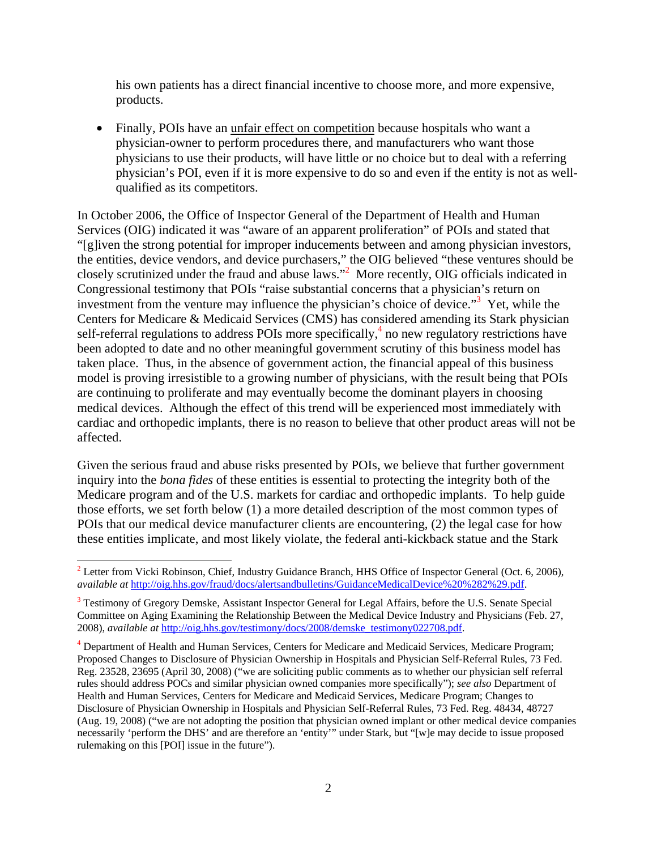his own patients has a direct financial incentive to choose more, and more expensive, products.

• Finally, POIs have an unfair effect on competition because hospitals who want a physician-owner to perform procedures there, and manufacturers who want those physicians to use their products, will have little or no choice but to deal with a referring physician's POI, even if it is more expensive to do so and even if the entity is not as wellqualified as its competitors.

In October 2006, the Office of Inspector General of the Department of Health and Human Services (OIG) indicated it was "aware of an apparent proliferation" of POIs and stated that "[g]iven the strong potential for improper inducements between and among physician investors, the entities, device vendors, and device purchasers," the OIG believed "these ventures should be closely scrutinized under the fraud and abuse laws."2 More recently, OIG officials indicated in Congressional testimony that POIs "raise substantial concerns that a physician's return on investment from the venture may influence the physician's choice of device."<sup>3</sup> Yet, while the Centers for Medicare & Medicaid Services (CMS) has considered amending its Stark physician self-referral regulations to address POIs more specifically, $\frac{4}{3}$  no new regulatory restrictions have been adopted to date and no other meaningful government scrutiny of this business model has taken place. Thus, in the absence of government action, the financial appeal of this business model is proving irresistible to a growing number of physicians, with the result being that POIs are continuing to proliferate and may eventually become the dominant players in choosing medical devices. Although the effect of this trend will be experienced most immediately with cardiac and orthopedic implants, there is no reason to believe that other product areas will not be affected.

Given the serious fraud and abuse risks presented by POIs, we believe that further government inquiry into the *bona fides* of these entities is essential to protecting the integrity both of the Medicare program and of the U.S. markets for cardiac and orthopedic implants. To help guide those efforts, we set forth below (1) a more detailed description of the most common types of POIs that our medical device manufacturer clients are encountering, (2) the legal case for how these entities implicate, and most likely violate, the federal anti-kickback statue and the Stark

 $2^2$  Letter from Vicki Robinson, Chief, Industry Guidance Branch, HHS Office of Inspector General (Oct. 6, 2006), *available at* http://oig.hhs.gov/fraud/docs/alertsandbulletins/GuidanceMedicalDevice%20%282%29.pdf.

<sup>&</sup>lt;sup>3</sup> Testimony of Gregory Demske, Assistant Inspector General for Legal Affairs, before the U.S. Senate Special Committee on Aging Examining the Relationship Between the Medical Device Industry and Physicians (Feb. 27, 2008), *available at* http://oig.hhs.gov/testimony/docs/2008/demske\_testimony022708.pdf.

<sup>&</sup>lt;sup>4</sup> Department of Health and Human Services, Centers for Medicare and Medicaid Services, Medicare Program; Proposed Changes to Disclosure of Physician Ownership in Hospitals and Physician Self-Referral Rules, 73 Fed. Reg. 23528, 23695 (April 30, 2008) ("we are soliciting public comments as to whether our physician self referral rules should address POCs and similar physician owned companies more specifically"); *see also* Department of Health and Human Services, Centers for Medicare and Medicaid Services, Medicare Program; Changes to Disclosure of Physician Ownership in Hospitals and Physician Self-Referral Rules, 73 Fed. Reg. 48434, 48727 (Aug. 19, 2008) ("we are not adopting the position that physician owned implant or other medical device companies necessarily 'perform the DHS' and are therefore an 'entity'" under Stark, but "[w]e may decide to issue proposed rulemaking on this [POI] issue in the future").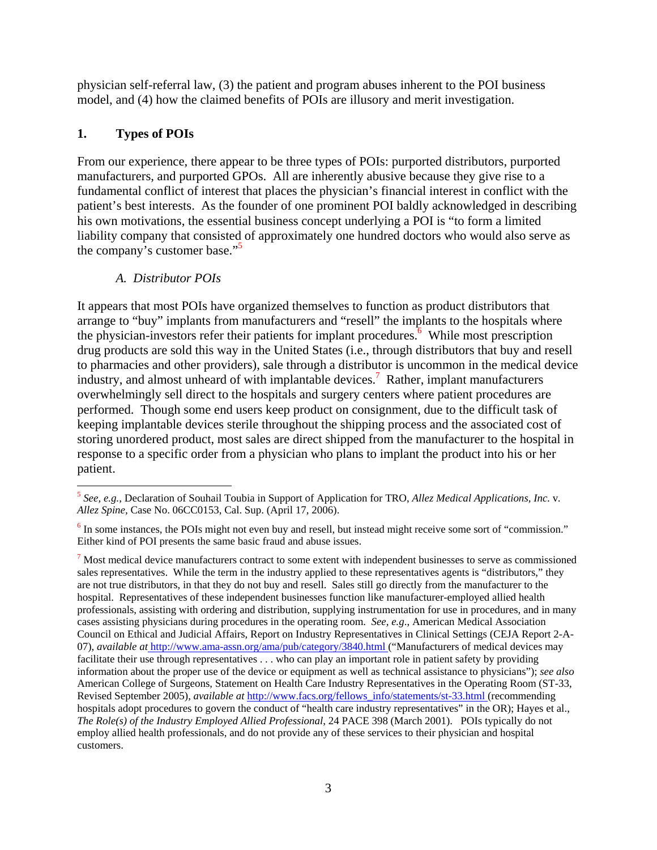physician self-referral law, (3) the patient and program abuses inherent to the POI business model, and (4) how the claimed benefits of POIs are illusory and merit investigation.

## **1. Types of POIs**

 $\overline{a}$ 

From our experience, there appear to be three types of POIs: purported distributors, purported manufacturers, and purported GPOs. All are inherently abusive because they give rise to a fundamental conflict of interest that places the physician's financial interest in conflict with the patient's best interests. As the founder of one prominent POI baldly acknowledged in describing his own motivations, the essential business concept underlying a POI is "to form a limited liability company that consisted of approximately one hundred doctors who would also serve as the company's customer base."<sup>5</sup>

### *A. Distributor POIs*

It appears that most POIs have organized themselves to function as product distributors that arrange to "buy" implants from manufacturers and "resell" the implants to the hospitals where the physician-investors refer their patients for implant procedures. $\frac{6}{5}$  While most prescription drug products are sold this way in the United States (i.e., through distributors that buy and resell to pharmacies and other providers), sale through a distributor is uncommon in the medical device industry, and almost unheard of with implantable devices.7 Rather, implant manufacturers overwhelmingly sell direct to the hospitals and surgery centers where patient procedures are performed. Though some end users keep product on consignment, due to the difficult task of keeping implantable devices sterile throughout the shipping process and the associated cost of storing unordered product, most sales are direct shipped from the manufacturer to the hospital in response to a specific order from a physician who plans to implant the product into his or her patient.

<sup>5</sup> *See, e.g.,* Declaration of Souhail Toubia in Support of Application for TRO, *Allez Medical Applications, Inc.* v*. Allez Spine,* Case No. 06CC0153, Cal. Sup. (April 17, 2006).

 $6$  In some instances, the POIs might not even buy and resell, but instead might receive some sort of "commission." Either kind of POI presents the same basic fraud and abuse issues.

 $<sup>7</sup>$  Most medical device manufacturers contract to some extent with independent businesses to serve as commissioned</sup> sales representatives. While the term in the industry applied to these representatives agents is "distributors," they are not true distributors, in that they do not buy and resell. Sales still go directly from the manufacturer to the hospital. Representatives of these independent businesses function like manufacturer-employed allied health professionals, assisting with ordering and distribution, supplying instrumentation for use in procedures, and in many cases assisting physicians during procedures in the operating room. *See, e.g*., American Medical Association Council on Ethical and Judicial Affairs, Report on Industry Representatives in Clinical Settings (CEJA Report 2-A-07), *available at* http://www.ama-assn.org/ama/pub/category/3840.html ("Manufacturers of medical devices may facilitate their use through representatives . . . who can play an important role in patient safety by providing information about the proper use of the device or equipment as well as technical assistance to physicians"); *see also* American College of Surgeons, Statement on Health Care Industry Representatives in the Operating Room (ST-33, Revised September 2005), *available at* http://www.facs.org/fellows\_info/statements/st-33.html (recommending hospitals adopt procedures to govern the conduct of "health care industry representatives" in the OR); Hayes et al., *The Role(s) of the Industry Employed Allied Professional*, 24 PACE 398 (March 2001). POIs typically do not employ allied health professionals, and do not provide any of these services to their physician and hospital customers.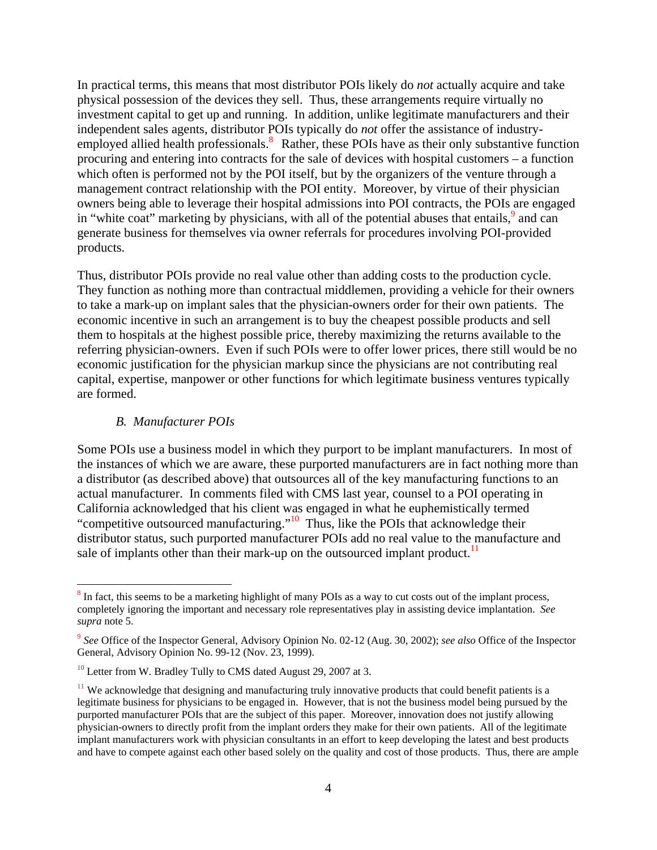In practical terms, this means that most distributor POIs likely do *not* actually acquire and take physical possession of the devices they sell. Thus, these arrangements require virtually no investment capital to get up and running. In addition, unlike legitimate manufacturers and their independent sales agents, distributor POIs typically do *not* offer the assistance of industryemployed allied health professionals.<sup>8</sup> Rather, these POIs have as their only substantive function procuring and entering into contracts for the sale of devices with hospital customers – a function which often is performed not by the POI itself, but by the organizers of the venture through a management contract relationship with the POI entity. Moreover, by virtue of their physician owners being able to leverage their hospital admissions into POI contracts, the POIs are engaged in "white coat" marketing by physicians, with all of the potential abuses that entails,  $9$  and can generate business for themselves via owner referrals for procedures involving POI-provided products.

Thus, distributor POIs provide no real value other than adding costs to the production cycle. They function as nothing more than contractual middlemen, providing a vehicle for their owners to take a mark-up on implant sales that the physician-owners order for their own patients. The economic incentive in such an arrangement is to buy the cheapest possible products and sell them to hospitals at the highest possible price, thereby maximizing the returns available to the referring physician-owners. Even if such POIs were to offer lower prices, there still would be no economic justification for the physician markup since the physicians are not contributing real capital, expertise, manpower or other functions for which legitimate business ventures typically are formed.

#### *B. Manufacturer POIs*

 $\overline{a}$ 

Some POIs use a business model in which they purport to be implant manufacturers. In most of the instances of which we are aware, these purported manufacturers are in fact nothing more than a distributor (as described above) that outsources all of the key manufacturing functions to an actual manufacturer. In comments filed with CMS last year, counsel to a POI operating in California acknowledged that his client was engaged in what he euphemistically termed "competitive outsourced manufacturing."<sup>10</sup> Thus, like the POIs that acknowledge their distributor status, such purported manufacturer POIs add no real value to the manufacture and sale of implants other than their mark-up on the outsourced implant product.<sup>11</sup>

 $8 \text{ In fact, this seems to be a marketing highlight of many POIs as a way to cut costs out of the implant process, }$ completely ignoring the important and necessary role representatives play in assisting device implantation. *See supra* note 5.

<sup>9</sup> *See* Office of the Inspector General, Advisory Opinion No. 02-12 (Aug. 30, 2002); *see also* Office of the Inspector General, Advisory Opinion No. 99-12 (Nov. 23, 1999).

<sup>&</sup>lt;sup>10</sup> Letter from W. Bradley Tully to CMS dated August 29, 2007 at 3.

<sup>&</sup>lt;sup>11</sup> We acknowledge that designing and manufacturing truly innovative products that could benefit patients is a legitimate business for physicians to be engaged in. However, that is not the business model being pursued by the purported manufacturer POIs that are the subject of this paper. Moreover, innovation does not justify allowing physician-owners to directly profit from the implant orders they make for their own patients. All of the legitimate implant manufacturers work with physician consultants in an effort to keep developing the latest and best products and have to compete against each other based solely on the quality and cost of those products. Thus, there are ample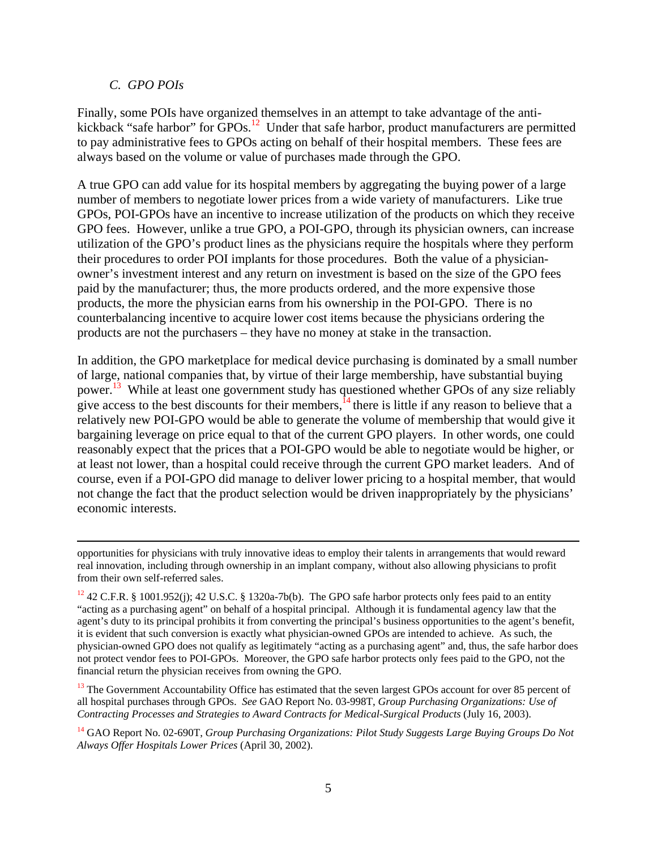#### *C. GPO POIs*

l

Finally, some POIs have organized themselves in an attempt to take advantage of the antikickback "safe harbor" for  $\overline{GPOS}$ .<sup>12</sup> Under that safe harbor, product manufacturers are permitted to pay administrative fees to GPOs acting on behalf of their hospital members. These fees are always based on the volume or value of purchases made through the GPO.

A true GPO can add value for its hospital members by aggregating the buying power of a large number of members to negotiate lower prices from a wide variety of manufacturers. Like true GPOs, POI-GPOs have an incentive to increase utilization of the products on which they receive GPO fees. However, unlike a true GPO, a POI-GPO, through its physician owners, can increase utilization of the GPO's product lines as the physicians require the hospitals where they perform their procedures to order POI implants for those procedures. Both the value of a physicianowner's investment interest and any return on investment is based on the size of the GPO fees paid by the manufacturer; thus, the more products ordered, and the more expensive those products, the more the physician earns from his ownership in the POI-GPO. There is no counterbalancing incentive to acquire lower cost items because the physicians ordering the products are not the purchasers – they have no money at stake in the transaction.

In addition, the GPO marketplace for medical device purchasing is dominated by a small number of large, national companies that, by virtue of their large membership, have substantial buying power.<sup>13</sup> While at least one government study has questioned whether GPOs of any size reliably give access to the best discounts for their members,  $^{14}$  there is little if any reason to believe that a relatively new POI-GPO would be able to generate the volume of membership that would give it bargaining leverage on price equal to that of the current GPO players. In other words, one could reasonably expect that the prices that a POI-GPO would be able to negotiate would be higher, or at least not lower, than a hospital could receive through the current GPO market leaders. And of course, even if a POI-GPO did manage to deliver lower pricing to a hospital member, that would not change the fact that the product selection would be driven inappropriately by the physicians' economic interests.

<sup>13</sup> The Government Accountability Office has estimated that the seven largest GPOs account for over 85 percent of all hospital purchases through GPOs. *See* GAO Report No. 03-998T, *Group Purchasing Organizations: Use of Contracting Processes and Strategies to Award Contracts for Medical-Surgical Products* (July 16, 2003).

14 GAO Report No. 02-690T, *Group Purchasing Organizations: Pilot Study Suggests Large Buying Groups Do Not Always Offer Hospitals Lower Prices* (April 30, 2002).

opportunities for physicians with truly innovative ideas to employ their talents in arrangements that would reward real innovation, including through ownership in an implant company, without also allowing physicians to profit from their own self-referred sales.

 $12$  42 C.F.R. § 1001.952(j); 42 U.S.C. § 1320a-7b(b). The GPO safe harbor protects only fees paid to an entity "acting as a purchasing agent" on behalf of a hospital principal. Although it is fundamental agency law that the agent's duty to its principal prohibits it from converting the principal's business opportunities to the agent's benefit, it is evident that such conversion is exactly what physician-owned GPOs are intended to achieve. As such, the physician-owned GPO does not qualify as legitimately "acting as a purchasing agent" and, thus, the safe harbor does not protect vendor fees to POI-GPOs. Moreover, the GPO safe harbor protects only fees paid to the GPO, not the financial return the physician receives from owning the GPO.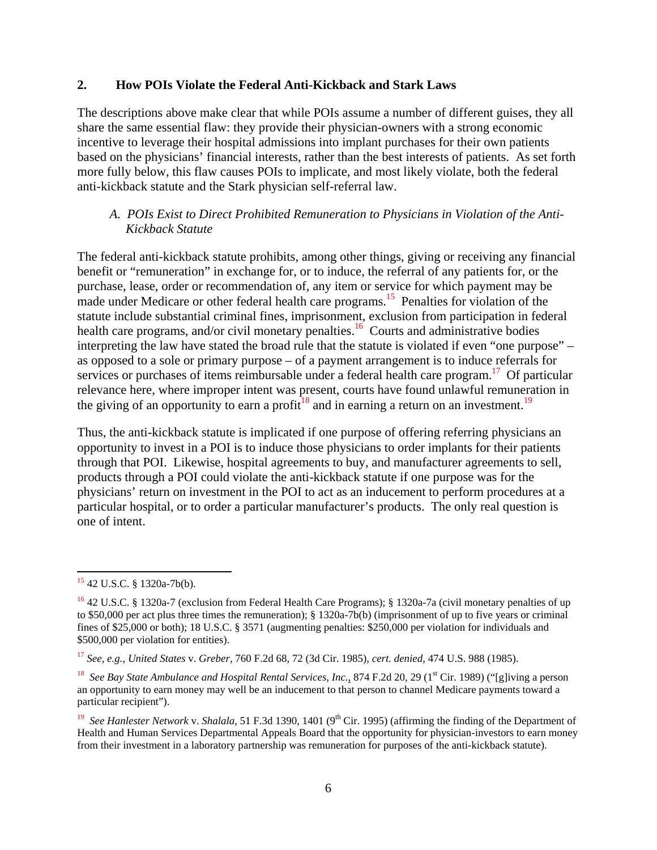#### **2. How POIs Violate the Federal Anti-Kickback and Stark Laws**

The descriptions above make clear that while POIs assume a number of different guises, they all share the same essential flaw: they provide their physician-owners with a strong economic incentive to leverage their hospital admissions into implant purchases for their own patients based on the physicians' financial interests, rather than the best interests of patients. As set forth more fully below, this flaw causes POIs to implicate, and most likely violate, both the federal anti-kickback statute and the Stark physician self-referral law.

### *A. POIs Exist to Direct Prohibited Remuneration to Physicians in Violation of the Anti- Kickback Statute*

The federal anti-kickback statute prohibits, among other things, giving or receiving any financial benefit or "remuneration" in exchange for, or to induce, the referral of any patients for, or the purchase, lease, order or recommendation of, any item or service for which payment may be made under Medicare or other federal health care programs.<sup>15</sup> Penalties for violation of the statute include substantial criminal fines, imprisonment, exclusion from participation in federal health care programs, and/or civil monetary penalties.<sup>16</sup> Courts and administrative bodies interpreting the law have stated the broad rule that the statute is violated if even "one purpose" – as opposed to a sole or primary purpose – of a payment arrangement is to induce referrals for services or purchases of items reimbursable under a federal health care program.<sup>17</sup> Of particular relevance here, where improper intent was present, courts have found unlawful remuneration in the giving of an opportunity to earn a profit<sup>18</sup> and in earning a return on an investment.<sup>19</sup>

Thus, the anti-kickback statute is implicated if one purpose of offering referring physicians an opportunity to invest in a POI is to induce those physicians to order implants for their patients through that POI. Likewise, hospital agreements to buy, and manufacturer agreements to sell, products through a POI could violate the anti-kickback statute if one purpose was for the physicians' return on investment in the POI to act as an inducement to perform procedures at a particular hospital, or to order a particular manufacturer's products. The only real question is one of intent.

<sup>15</sup> 42 U.S.C. § 1320a-7b(b).

<sup>16</sup> 42 U.S.C. § 1320a-7 (exclusion from Federal Health Care Programs); § 1320a-7a (civil monetary penalties of up to \$50,000 per act plus three times the remuneration); § 1320a-7b(b) (imprisonment of up to five years or criminal fines of \$25,000 or both); 18 U.S.C. § 3571 (augmenting penalties: \$250,000 per violation for individuals and \$500,000 per violation for entities).

<sup>17</sup> *See, e.g.*, *United States* v. *Greber*, 760 F.2d 68, 72 (3d Cir. 1985), *cert. denied*, 474 U.S. 988 (1985).

<sup>&</sup>lt;sup>18</sup> *See Bay State Ambulance and Hospital Rental Services, Inc.*, 874 F.2d 20, 29 (1<sup>st</sup> Cir. 1989) ("[g]iving a person an opportunity to earn money may well be an inducement to that person to channel Medicare payments toward a particular recipient").

<sup>&</sup>lt;sup>19</sup> *See Hanlester Network v. Shalala*, 51 F.3d 1390, 1401 (9<sup>th</sup> Cir. 1995) (affirming the finding of the Department of Health and Human Services Departmental Appeals Board that the opportunity for physician-investors to earn money from their investment in a laboratory partnership was remuneration for purposes of the anti-kickback statute).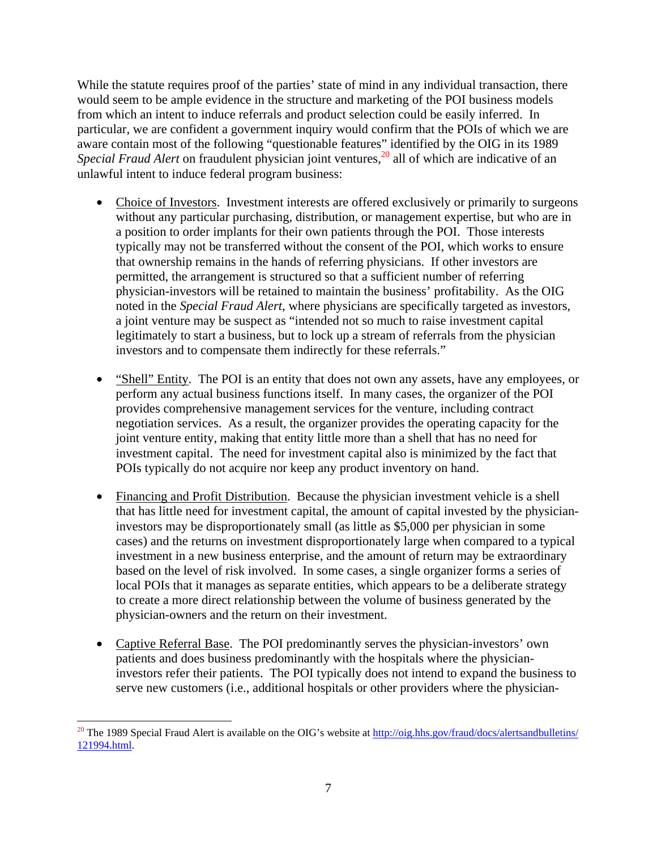While the statute requires proof of the parties' state of mind in any individual transaction, there would seem to be ample evidence in the structure and marketing of the POI business models from which an intent to induce referrals and product selection could be easily inferred. In particular, we are confident a government inquiry would confirm that the POIs of which we are aware contain most of the following "questionable features" identified by the OIG in its 1989 *Special Fraud Alert* on fraudulent physician joint ventures,<sup>20</sup> all of which are indicative of an unlawful intent to induce federal program business:

- Choice of Investors. Investment interests are offered exclusively or primarily to surgeons without any particular purchasing, distribution, or management expertise, but who are in a position to order implants for their own patients through the POI. Those interests typically may not be transferred without the consent of the POI, which works to ensure that ownership remains in the hands of referring physicians. If other investors are permitted, the arrangement is structured so that a sufficient number of referring physician-investors will be retained to maintain the business' profitability. As the OIG noted in the *Special Fraud Alert*, where physicians are specifically targeted as investors, a joint venture may be suspect as "intended not so much to raise investment capital legitimately to start a business, but to lock up a stream of referrals from the physician investors and to compensate them indirectly for these referrals."
- "Shell" Entity. The POI is an entity that does not own any assets, have any employees, or perform any actual business functions itself. In many cases, the organizer of the POI provides comprehensive management services for the venture, including contract negotiation services. As a result, the organizer provides the operating capacity for the joint venture entity, making that entity little more than a shell that has no need for investment capital. The need for investment capital also is minimized by the fact that POIs typically do not acquire nor keep any product inventory on hand.
- Financing and Profit Distribution. Because the physician investment vehicle is a shell that has little need for investment capital, the amount of capital invested by the physicianinvestors may be disproportionately small (as little as \$5,000 per physician in some cases) and the returns on investment disproportionately large when compared to a typical investment in a new business enterprise, and the amount of return may be extraordinary based on the level of risk involved. In some cases, a single organizer forms a series of local POIs that it manages as separate entities, which appears to be a deliberate strategy to create a more direct relationship between the volume of business generated by the physician-owners and the return on their investment.
- Captive Referral Base. The POI predominantly serves the physician-investors' own patients and does business predominantly with the hospitals where the physicianinvestors refer their patients. The POI typically does not intend to expand the business to serve new customers (i.e., additional hospitals or other providers where the physician-

<sup>&</sup>lt;sup>20</sup> The 1989 Special Fraud Alert is available on the OIG's website at  $\frac{http://oig.hhs.gov/fraud/docs/alertsandbulletins/}$ 121994.html.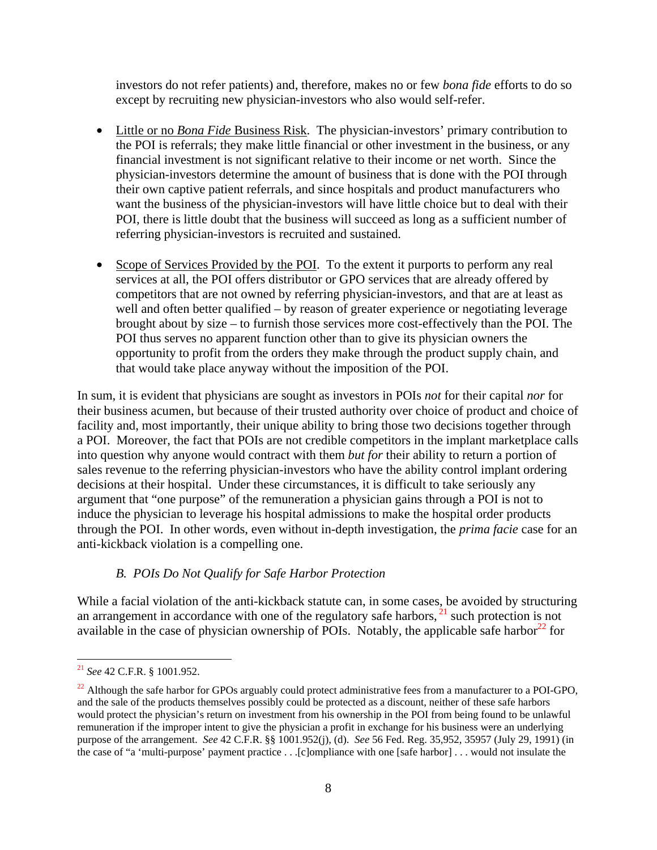investors do not refer patients) and, therefore, makes no or few *bona fide* efforts to do so except by recruiting new physician-investors who also would self-refer.

- Little or no *Bona Fide* Business Risk. The physician-investors' primary contribution to the POI is referrals; they make little financial or other investment in the business, or any financial investment is not significant relative to their income or net worth. Since the physician-investors determine the amount of business that is done with the POI through their own captive patient referrals, and since hospitals and product manufacturers who want the business of the physician-investors will have little choice but to deal with their POI, there is little doubt that the business will succeed as long as a sufficient number of referring physician-investors is recruited and sustained.
- Scope of Services Provided by the POI. To the extent it purports to perform any real services at all, the POI offers distributor or GPO services that are already offered by competitors that are not owned by referring physician-investors, and that are at least as well and often better qualified – by reason of greater experience or negotiating leverage brought about by size – to furnish those services more cost-effectively than the POI. The POI thus serves no apparent function other than to give its physician owners the opportunity to profit from the orders they make through the product supply chain, and that would take place anyway without the imposition of the POI.

In sum, it is evident that physicians are sought as investors in POIs *not* for their capital *nor* for their business acumen, but because of their trusted authority over choice of product and choice of facility and, most importantly, their unique ability to bring those two decisions together through a POI. Moreover, the fact that POIs are not credible competitors in the implant marketplace calls into question why anyone would contract with them *but for* their ability to return a portion of sales revenue to the referring physician-investors who have the ability control implant ordering decisions at their hospital. Under these circumstances, it is difficult to take seriously any argument that "one purpose" of the remuneration a physician gains through a POI is not to induce the physician to leverage his hospital admissions to make the hospital order products through the POI. In other words, even without in-depth investigation, the *prima facie* case for an anti-kickback violation is a compelling one.

#### *B. POIs Do Not Qualify for Safe Harbor Protection*

While a facial violation of the anti-kickback statute can, in some cases, be avoided by structuring an arrangement in accordance with one of the regulatory safe harbors,  $21$  such protection is not available in the case of physician ownership of POIs. Notably, the applicable safe harbor $^{22}$  for

<sup>21</sup> *See* 42 C.F.R. § 1001.952.

<sup>&</sup>lt;sup>22</sup> Although the safe harbor for GPOs arguably could protect administrative fees from a manufacturer to a POI-GPO, and the sale of the products themselves possibly could be protected as a discount, neither of these safe harbors would protect the physician's return on investment from his ownership in the POI from being found to be unlawful remuneration if the improper intent to give the physician a profit in exchange for his business were an underlying purpose of the arrangement. *See* 42 C.F.R. §§ 1001.952(j), (d). *See* 56 Fed. Reg. 35,952, 35957 (July 29, 1991) (in the case of "a 'multi-purpose' payment practice . . .[c]ompliance with one [safe harbor] . . . would not insulate the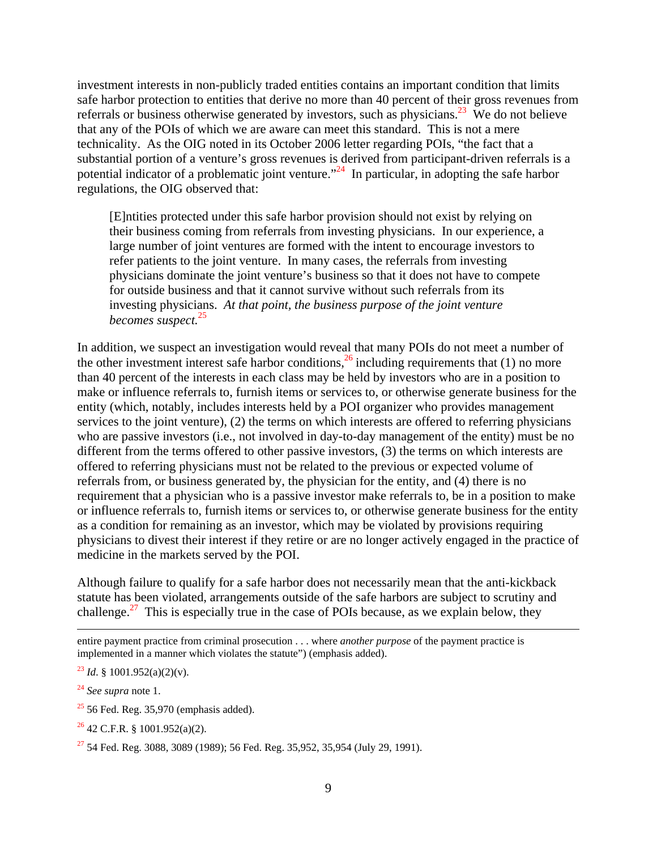investment interests in non-publicly traded entities contains an important condition that limits safe harbor protection to entities that derive no more than 40 percent of their gross revenues from referrals or business otherwise generated by investors, such as physicians.<sup>23</sup> We do not believe that any of the POIs of which we are aware can meet this standard. This is not a mere technicality. As the OIG noted in its October 2006 letter regarding POIs, "the fact that a substantial portion of a venture's gross revenues is derived from participant-driven referrals is a potential indicator of a problematic joint venture."<sup>24</sup> In particular, in adopting the safe harbor regulations, the OIG observed that:

[E]ntities protected under this safe harbor provision should not exist by relying on their business coming from referrals from investing physicians. In our experience, a large number of joint ventures are formed with the intent to encourage investors to refer patients to the joint venture. In many cases, the referrals from investing physicians dominate the joint venture's business so that it does not have to compete for outside business and that it cannot survive without such referrals from its investing physicians. *At that point, the business purpose of the joint venture becomes suspect.*<sup>25</sup>

In addition, we suspect an investigation would reveal that many POIs do not meet a number of the other investment interest safe harbor conditions,  $^{26}$  including requirements that (1) no more than 40 percent of the interests in each class may be held by investors who are in a position to make or influence referrals to, furnish items or services to, or otherwise generate business for the entity (which, notably, includes interests held by a POI organizer who provides management services to the joint venture), (2) the terms on which interests are offered to referring physicians who are passive investors (i.e., not involved in day-to-day management of the entity) must be no different from the terms offered to other passive investors, (3) the terms on which interests are offered to referring physicians must not be related to the previous or expected volume of referrals from, or business generated by, the physician for the entity, and (4) there is no requirement that a physician who is a passive investor make referrals to, be in a position to make or influence referrals to, furnish items or services to, or otherwise generate business for the entity as a condition for remaining as an investor, which may be violated by provisions requiring physicians to divest their interest if they retire or are no longer actively engaged in the practice of medicine in the markets served by the POI.

Although failure to qualify for a safe harbor does not necessarily mean that the anti-kickback statute has been violated, arrangements outside of the safe harbors are subject to scrutiny and challenge.<sup>27</sup> This is especially true in the case of POIs because, as we explain below, they

<sup>24</sup> *See supra* note 1.

- $25$  56 Fed. Reg. 35,970 (emphasis added).
- $26$  42 C.F.R. § 1001.952(a)(2).

entire payment practice from criminal prosecution . . . where *another purpose* of the payment practice is implemented in a manner which violates the statute") (emphasis added).

 $^{23}$  *Id.* § 1001.952(a)(2)(v).

 $27$  54 Fed. Reg. 3088, 3089 (1989); 56 Fed. Reg. 35,952, 35,954 (July 29, 1991).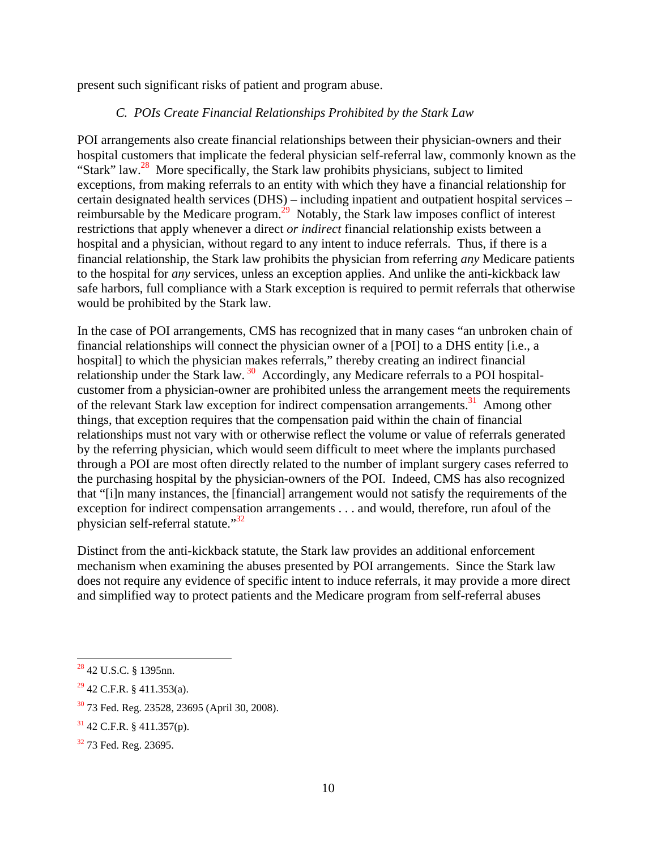present such significant risks of patient and program abuse.

### *C. POIs Create Financial Relationships Prohibited by the Stark Law*

POI arrangements also create financial relationships between their physician-owners and their hospital customers that implicate the federal physician self-referral law, commonly known as the "Stark" law.<sup>28</sup> More specifically, the Stark law prohibits physicians, subject to limited exceptions, from making referrals to an entity with which they have a financial relationship for certain designated health services (DHS) – including inpatient and outpatient hospital services – reimbursable by the Medicare program.<sup>29</sup> Notably, the Stark law imposes conflict of interest restrictions that apply whenever a direct *or indirect* financial relationship exists between a hospital and a physician, without regard to any intent to induce referrals. Thus, if there is a financial relationship, the Stark law prohibits the physician from referring *any* Medicare patients to the hospital for *any* services, unless an exception applies. And unlike the anti-kickback law safe harbors, full compliance with a Stark exception is required to permit referrals that otherwise would be prohibited by the Stark law.

In the case of POI arrangements, CMS has recognized that in many cases "an unbroken chain of financial relationships will connect the physician owner of a [POI] to a DHS entity [i.e., a hospital] to which the physician makes referrals," thereby creating an indirect financial relationship under the Stark law. 30 Accordingly, any Medicare referrals to a POI hospitalcustomer from a physician-owner are prohibited unless the arrangement meets the requirements of the relevant Stark law exception for indirect compensation arrangements.<sup>31</sup> Among other things, that exception requires that the compensation paid within the chain of financial relationships must not vary with or otherwise reflect the volume or value of referrals generated by the referring physician, which would seem difficult to meet where the implants purchased through a POI are most often directly related to the number of implant surgery cases referred to the purchasing hospital by the physician-owners of the POI. Indeed, CMS has also recognized that "[i]n many instances, the [financial] arrangement would not satisfy the requirements of the exception for indirect compensation arrangements . . . and would, therefore, run afoul of the physician self-referral statute."<sup>32</sup>

Distinct from the anti-kickback statute, the Stark law provides an additional enforcement mechanism when examining the abuses presented by POI arrangements. Since the Stark law does not require any evidence of specific intent to induce referrals, it may provide a more direct and simplified way to protect patients and the Medicare program from self-referral abuses

 $28$  42 U.S.C. § 1395nn.

 $29$  42 C.F.R. § 411.353(a).

<sup>30 73</sup> Fed. Reg. 23528, 23695 (April 30, 2008).

 $31$  42 C.F.R. § 411.357(p).

<sup>&</sup>lt;sup>32</sup> 73 Fed. Reg. 23695.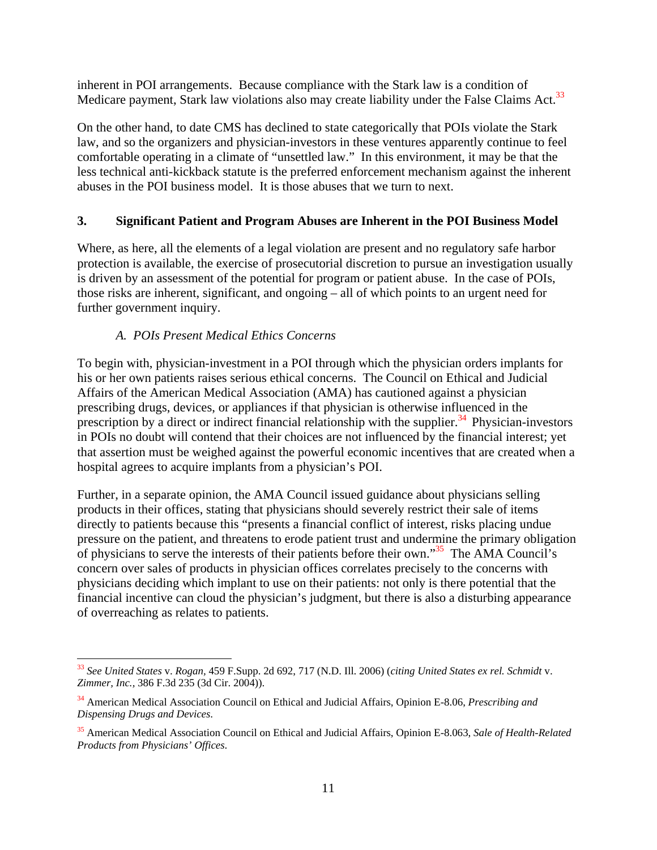inherent in POI arrangements. Because compliance with the Stark law is a condition of Medicare payment, Stark law violations also may create liability under the False Claims Act.<sup>33</sup>

On the other hand, to date CMS has declined to state categorically that POIs violate the Stark law, and so the organizers and physician-investors in these ventures apparently continue to feel comfortable operating in a climate of "unsettled law." In this environment, it may be that the less technical anti-kickback statute is the preferred enforcement mechanism against the inherent abuses in the POI business model. It is those abuses that we turn to next.

# **3. Significant Patient and Program Abuses are Inherent in the POI Business Model**

Where, as here, all the elements of a legal violation are present and no regulatory safe harbor protection is available, the exercise of prosecutorial discretion to pursue an investigation usually is driven by an assessment of the potential for program or patient abuse. In the case of POIs, those risks are inherent, significant, and ongoing – all of which points to an urgent need for further government inquiry.

# *A. POIs Present Medical Ethics Concerns*

l

To begin with, physician-investment in a POI through which the physician orders implants for his or her own patients raises serious ethical concerns. The Council on Ethical and Judicial Affairs of the American Medical Association (AMA) has cautioned against a physician prescribing drugs, devices, or appliances if that physician is otherwise influenced in the prescription by a direct or indirect financial relationship with the supplier.<sup>34</sup> Physician-investors in POIs no doubt will contend that their choices are not influenced by the financial interest; yet that assertion must be weighed against the powerful economic incentives that are created when a hospital agrees to acquire implants from a physician's POI.

Further, in a separate opinion, the AMA Council issued guidance about physicians selling products in their offices, stating that physicians should severely restrict their sale of items directly to patients because this "presents a financial conflict of interest, risks placing undue pressure on the patient, and threatens to erode patient trust and undermine the primary obligation of physicians to serve the interests of their patients before their own." $35$  The AMA Council's concern over sales of products in physician offices correlates precisely to the concerns with physicians deciding which implant to use on their patients: not only is there potential that the financial incentive can cloud the physician's judgment, but there is also a disturbing appearance of overreaching as relates to patients.

<sup>33</sup> *See United States* v. *Rogan,* 459 F.Supp. 2d 692, 717 (N.D. Ill. 2006) (*citing United States ex rel. Schmidt* v. *Zimmer, Inc.,* 386 F.3d 235 (3d Cir. 2004)).

<sup>34</sup> American Medical Association Council on Ethical and Judicial Affairs, Opinion E-8.06, *Prescribing and Dispensing Drugs and Devices*.

<sup>35</sup> American Medical Association Council on Ethical and Judicial Affairs, Opinion E-8.063, *Sale of Health-Related Products from Physicians' Offices*.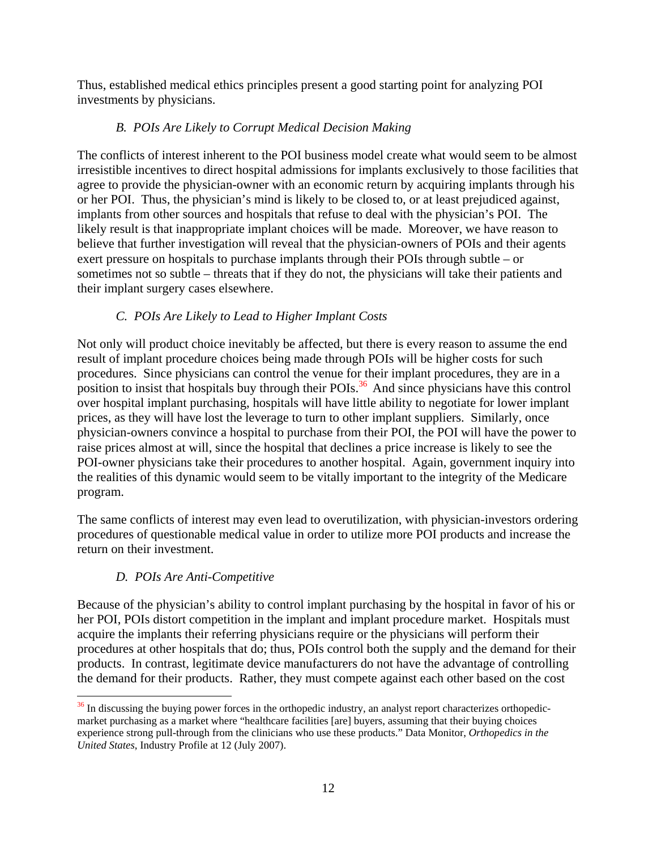Thus, established medical ethics principles present a good starting point for analyzing POI investments by physicians.

# *B. POIs Are Likely to Corrupt Medical Decision Making*

The conflicts of interest inherent to the POI business model create what would seem to be almost irresistible incentives to direct hospital admissions for implants exclusively to those facilities that agree to provide the physician-owner with an economic return by acquiring implants through his or her POI. Thus, the physician's mind is likely to be closed to, or at least prejudiced against, implants from other sources and hospitals that refuse to deal with the physician's POI. The likely result is that inappropriate implant choices will be made. Moreover, we have reason to believe that further investigation will reveal that the physician-owners of POIs and their agents exert pressure on hospitals to purchase implants through their POIs through subtle – or sometimes not so subtle – threats that if they do not, the physicians will take their patients and their implant surgery cases elsewhere.

# *C. POIs Are Likely to Lead to Higher Implant Costs*

Not only will product choice inevitably be affected, but there is every reason to assume the end result of implant procedure choices being made through POIs will be higher costs for such procedures. Since physicians can control the venue for their implant procedures, they are in a position to insist that hospitals buy through their POIs.<sup>36</sup> And since physicians have this control over hospital implant purchasing, hospitals will have little ability to negotiate for lower implant prices, as they will have lost the leverage to turn to other implant suppliers. Similarly, once physician-owners convince a hospital to purchase from their POI, the POI will have the power to raise prices almost at will, since the hospital that declines a price increase is likely to see the POI-owner physicians take their procedures to another hospital. Again, government inquiry into the realities of this dynamic would seem to be vitally important to the integrity of the Medicare program.

The same conflicts of interest may even lead to overutilization, with physician-investors ordering procedures of questionable medical value in order to utilize more POI products and increase the return on their investment.

# *D. POIs Are Anti-Competitive*

Because of the physician's ability to control implant purchasing by the hospital in favor of his or her POI, POIs distort competition in the implant and implant procedure market. Hospitals must acquire the implants their referring physicians require or the physicians will perform their procedures at other hospitals that do; thus, POIs control both the supply and the demand for their products. In contrast, legitimate device manufacturers do not have the advantage of controlling the demand for their products. Rather, they must compete against each other based on the cost

 $\overline{a}$  $36$  In discussing the buying power forces in the orthopedic industry, an analyst report characterizes orthopedicmarket purchasing as a market where "healthcare facilities [are] buyers, assuming that their buying choices experience strong pull-through from the clinicians who use these products." Data Monitor, *Orthopedics in the United States*, Industry Profile at 12 (July 2007).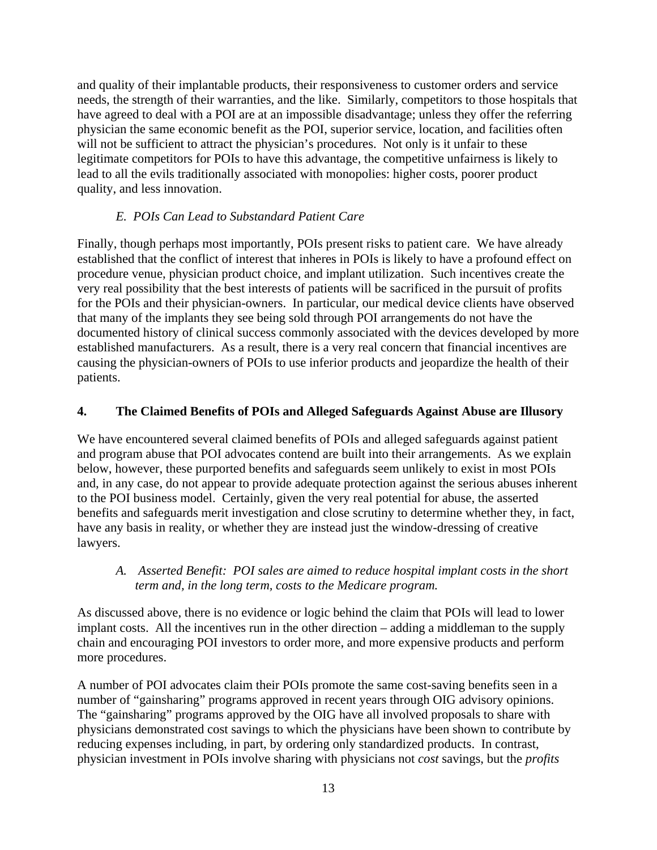and quality of their implantable products, their responsiveness to customer orders and service needs, the strength of their warranties, and the like. Similarly, competitors to those hospitals that have agreed to deal with a POI are at an impossible disadvantage; unless they offer the referring physician the same economic benefit as the POI, superior service, location, and facilities often will not be sufficient to attract the physician's procedures. Not only is it unfair to these legitimate competitors for POIs to have this advantage, the competitive unfairness is likely to lead to all the evils traditionally associated with monopolies: higher costs, poorer product quality, and less innovation.

# *E. POIs Can Lead to Substandard Patient Care*

Finally, though perhaps most importantly, POIs present risks to patient care. We have already established that the conflict of interest that inheres in POIs is likely to have a profound effect on procedure venue, physician product choice, and implant utilization. Such incentives create the very real possibility that the best interests of patients will be sacrificed in the pursuit of profits for the POIs and their physician-owners. In particular, our medical device clients have observed that many of the implants they see being sold through POI arrangements do not have the documented history of clinical success commonly associated with the devices developed by more established manufacturers. As a result, there is a very real concern that financial incentives are causing the physician-owners of POIs to use inferior products and jeopardize the health of their patients.

### **4. The Claimed Benefits of POIs and Alleged Safeguards Against Abuse are Illusory**

We have encountered several claimed benefits of POIs and alleged safeguards against patient and program abuse that POI advocates contend are built into their arrangements. As we explain below, however, these purported benefits and safeguards seem unlikely to exist in most POIs and, in any case, do not appear to provide adequate protection against the serious abuses inherent to the POI business model. Certainly, given the very real potential for abuse, the asserted benefits and safeguards merit investigation and close scrutiny to determine whether they, in fact, have any basis in reality, or whether they are instead just the window-dressing of creative lawyers.

### *A. Asserted Benefit: POI sales are aimed to reduce hospital implant costs in the short term and, in the long term, costs to the Medicare program.*

As discussed above, there is no evidence or logic behind the claim that POIs will lead to lower implant costs. All the incentives run in the other direction – adding a middleman to the supply chain and encouraging POI investors to order more, and more expensive products and perform more procedures.

A number of POI advocates claim their POIs promote the same cost-saving benefits seen in a number of "gainsharing" programs approved in recent years through OIG advisory opinions. The "gainsharing" programs approved by the OIG have all involved proposals to share with physicians demonstrated cost savings to which the physicians have been shown to contribute by reducing expenses including, in part, by ordering only standardized products. In contrast, physician investment in POIs involve sharing with physicians not *cost* savings, but the *profits*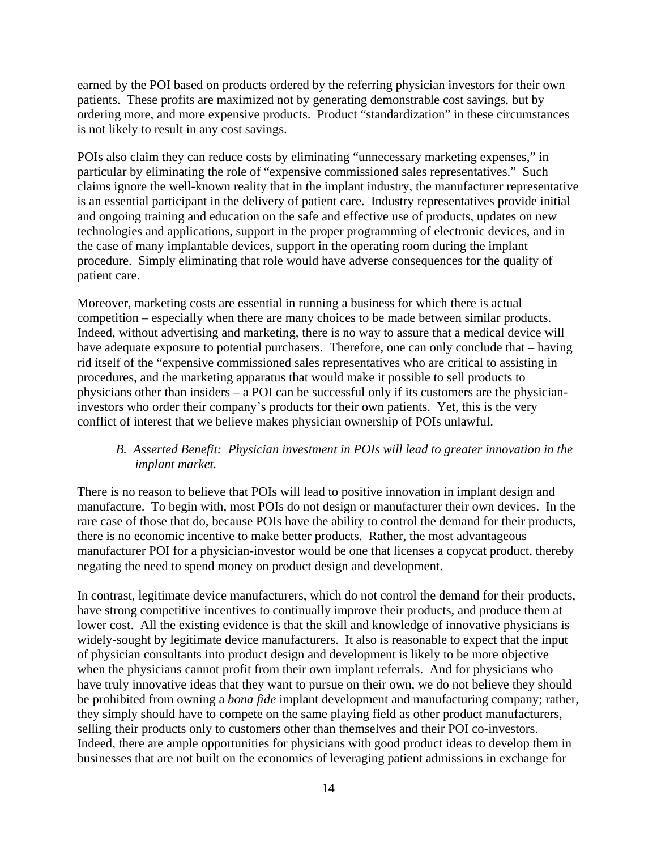earned by the POI based on products ordered by the referring physician investors for their own patients. These profits are maximized not by generating demonstrable cost savings, but by ordering more, and more expensive products. Product "standardization" in these circumstances is not likely to result in any cost savings.

POIs also claim they can reduce costs by eliminating "unnecessary marketing expenses," in particular by eliminating the role of "expensive commissioned sales representatives." Such claims ignore the well-known reality that in the implant industry, the manufacturer representative is an essential participant in the delivery of patient care. Industry representatives provide initial and ongoing training and education on the safe and effective use of products, updates on new technologies and applications, support in the proper programming of electronic devices, and in the case of many implantable devices, support in the operating room during the implant procedure. Simply eliminating that role would have adverse consequences for the quality of patient care.

Moreover, marketing costs are essential in running a business for which there is actual competition – especially when there are many choices to be made between similar products. Indeed, without advertising and marketing, there is no way to assure that a medical device will have adequate exposure to potential purchasers. Therefore, one can only conclude that – having rid itself of the "expensive commissioned sales representatives who are critical to assisting in procedures, and the marketing apparatus that would make it possible to sell products to physicians other than insiders – a POI can be successful only if its customers are the physicianinvestors who order their company's products for their own patients. Yet, this is the very conflict of interest that we believe makes physician ownership of POIs unlawful.

### *B. Asserted Benefit: Physician investment in POIs will lead to greater innovation in the implant market.*

There is no reason to believe that POIs will lead to positive innovation in implant design and manufacture. To begin with, most POIs do not design or manufacturer their own devices. In the rare case of those that do, because POIs have the ability to control the demand for their products, there is no economic incentive to make better products. Rather, the most advantageous manufacturer POI for a physician-investor would be one that licenses a copycat product, thereby negating the need to spend money on product design and development.

In contrast, legitimate device manufacturers, which do not control the demand for their products, have strong competitive incentives to continually improve their products, and produce them at lower cost. All the existing evidence is that the skill and knowledge of innovative physicians is widely-sought by legitimate device manufacturers. It also is reasonable to expect that the input of physician consultants into product design and development is likely to be more objective when the physicians cannot profit from their own implant referrals. And for physicians who have truly innovative ideas that they want to pursue on their own, we do not believe they should be prohibited from owning a *bona fide* implant development and manufacturing company; rather, they simply should have to compete on the same playing field as other product manufacturers, selling their products only to customers other than themselves and their POI co-investors. Indeed, there are ample opportunities for physicians with good product ideas to develop them in businesses that are not built on the economics of leveraging patient admissions in exchange for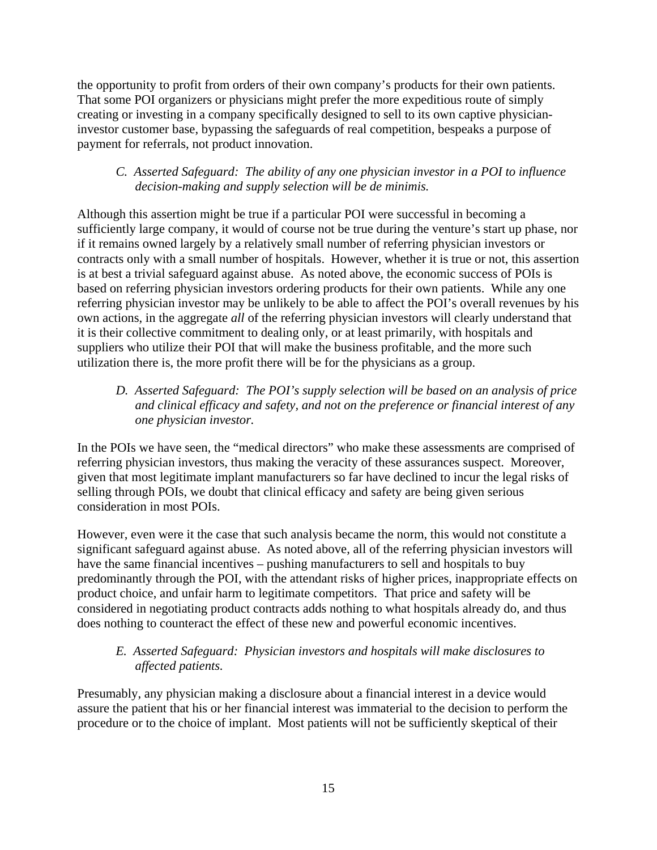the opportunity to profit from orders of their own company's products for their own patients. That some POI organizers or physicians might prefer the more expeditious route of simply creating or investing in a company specifically designed to sell to its own captive physicianinvestor customer base, bypassing the safeguards of real competition, bespeaks a purpose of payment for referrals, not product innovation.

# *C. Asserted Safeguard: The ability of any one physician investor in a POI to influence decision-making and supply selection will be de minimis.*

Although this assertion might be true if a particular POI were successful in becoming a sufficiently large company, it would of course not be true during the venture's start up phase, nor if it remains owned largely by a relatively small number of referring physician investors or contracts only with a small number of hospitals. However, whether it is true or not, this assertion is at best a trivial safeguard against abuse. As noted above, the economic success of POIs is based on referring physician investors ordering products for their own patients. While any one referring physician investor may be unlikely to be able to affect the POI's overall revenues by his own actions, in the aggregate *all* of the referring physician investors will clearly understand that it is their collective commitment to dealing only, or at least primarily, with hospitals and suppliers who utilize their POI that will make the business profitable, and the more such utilization there is, the more profit there will be for the physicians as a group.

# *D. Asserted Safeguard: The POI's supply selection will be based on an analysis of price and clinical efficacy and safety, and not on the preference or financial interest of any one physician investor.*

In the POIs we have seen, the "medical directors" who make these assessments are comprised of referring physician investors, thus making the veracity of these assurances suspect. Moreover, given that most legitimate implant manufacturers so far have declined to incur the legal risks of selling through POIs, we doubt that clinical efficacy and safety are being given serious consideration in most POIs.

However, even were it the case that such analysis became the norm, this would not constitute a significant safeguard against abuse. As noted above, all of the referring physician investors will have the same financial incentives – pushing manufacturers to sell and hospitals to buy predominantly through the POI, with the attendant risks of higher prices, inappropriate effects on product choice, and unfair harm to legitimate competitors. That price and safety will be considered in negotiating product contracts adds nothing to what hospitals already do, and thus does nothing to counteract the effect of these new and powerful economic incentives.

# *E. Asserted Safeguard: Physician investors and hospitals will make disclosures to affected patients.*

Presumably, any physician making a disclosure about a financial interest in a device would assure the patient that his or her financial interest was immaterial to the decision to perform the procedure or to the choice of implant. Most patients will not be sufficiently skeptical of their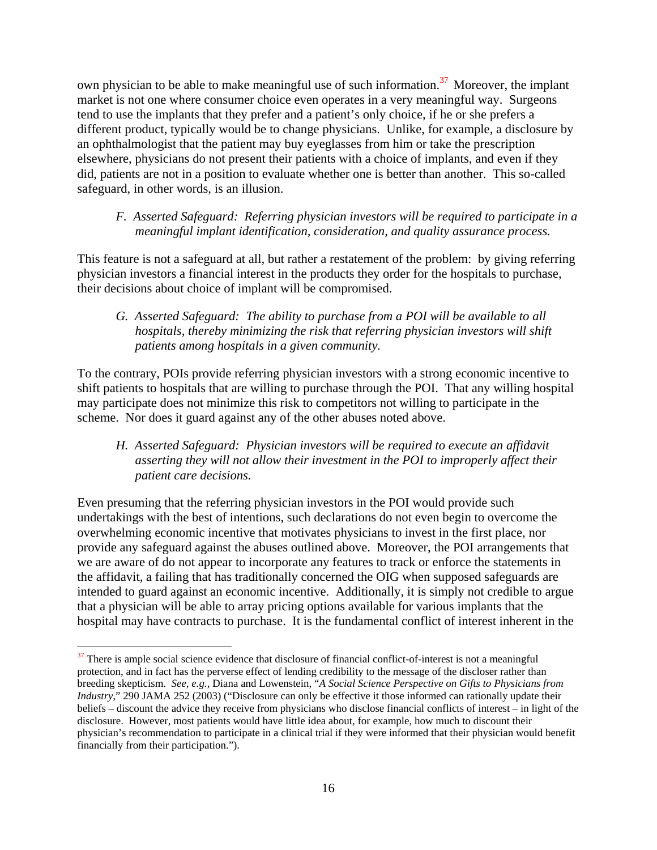own physician to be able to make meaningful use of such information.<sup>37</sup> Moreover, the implant market is not one where consumer choice even operates in a very meaningful way. Surgeons tend to use the implants that they prefer and a patient's only choice, if he or she prefers a different product, typically would be to change physicians. Unlike, for example, a disclosure by an ophthalmologist that the patient may buy eyeglasses from him or take the prescription elsewhere, physicians do not present their patients with a choice of implants, and even if they did, patients are not in a position to evaluate whether one is better than another. This so-called safeguard, in other words, is an illusion.

### *F. Asserted Safeguard: Referring physician investors will be required to participate in a meaningful implant identification, consideration, and quality assurance process.*

This feature is not a safeguard at all, but rather a restatement of the problem: by giving referring physician investors a financial interest in the products they order for the hospitals to purchase, their decisions about choice of implant will be compromised.

# *G. Asserted Safeguard: The ability to purchase from a POI will be available to all hospitals, thereby minimizing the risk that referring physician investors will shift patients among hospitals in a given community.*

To the contrary, POIs provide referring physician investors with a strong economic incentive to shift patients to hospitals that are willing to purchase through the POI. That any willing hospital may participate does not minimize this risk to competitors not willing to participate in the scheme. Nor does it guard against any of the other abuses noted above.

# *H. Asserted Safeguard: Physician investors will be required to execute an affidavit asserting they will not allow their investment in the POI to improperly affect their patient care decisions.*

Even presuming that the referring physician investors in the POI would provide such undertakings with the best of intentions, such declarations do not even begin to overcome the overwhelming economic incentive that motivates physicians to invest in the first place, nor provide any safeguard against the abuses outlined above. Moreover, the POI arrangements that we are aware of do not appear to incorporate any features to track or enforce the statements in the affidavit, a failing that has traditionally concerned the OIG when supposed safeguards are intended to guard against an economic incentive. Additionally, it is simply not credible to argue that a physician will be able to array pricing options available for various implants that the hospital may have contracts to purchase. It is the fundamental conflict of interest inherent in the

<sup>&</sup>lt;sup>37</sup> There is ample social science evidence that disclosure of financial conflict-of-interest is not a meaningful protection, and in fact has the perverse effect of lending credibility to the message of the discloser rather than breeding skepticism. *See, e.g.,* Diana and Lowenstein, "*A Social Science Perspective on Gifts to Physicians from Industry*," 290 JAMA 252 (2003) ("Disclosure can only be effective it those informed can rationally update their beliefs – discount the advice they receive from physicians who disclose financial conflicts of interest – in light of the disclosure. However, most patients would have little idea about, for example, how much to discount their physician's recommendation to participate in a clinical trial if they were informed that their physician would benefit financially from their participation.").